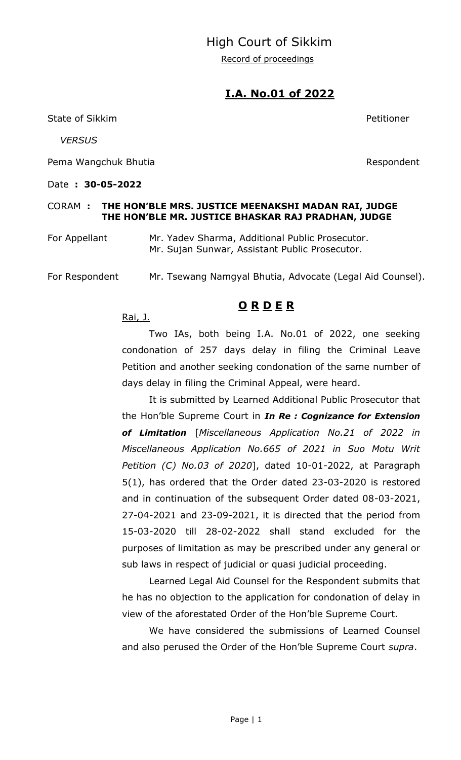## High Court of Sikkim

Record of proceedings

### **I.A. No.01 of 2022**

State of Sikkim **Petitioner** 

 *VERSUS*

Pema Wangchuk Bhutia **Respondent** 

Date **: 30-05-2022** 

#### CORAM **: THE HON'BLE MRS. JUSTICE MEENAKSHI MADAN RAI, JUDGE THE HON'BLE MR. JUSTICE BHASKAR RAJ PRADHAN, JUDGE**

For Appellant Mr. Yadev Sharma, Additional Public Prosecutor. Mr. Sujan Sunwar, Assistant Public Prosecutor.

For Respondent Mr. Tsewang Namgyal Bhutia, Advocate (Legal Aid Counsel).

## **O R D E R**

Rai, J.

Two IAs, both being I.A. No.01 of 2022, one seeking condonation of 257 days delay in filing the Criminal Leave Petition and another seeking condonation of the same number of days delay in filing the Criminal Appeal, were heard.

It is submitted by Learned Additional Public Prosecutor that the Hon'ble Supreme Court in *In Re : Cognizance for Extension of Limitation* [*Miscellaneous Application No.21 of 2022 in Miscellaneous Application No.665 of 2021 in Suo Motu Writ Petition (C) No.03 of 2020*], dated 10-01-2022, at Paragraph 5(1), has ordered that the Order dated 23-03-2020 is restored and in continuation of the subsequent Order dated 08-03-2021, 27-04-2021 and 23-09-2021, it is directed that the period from 15-03-2020 till 28-02-2022 shall stand excluded for the purposes of limitation as may be prescribed under any general or sub laws in respect of judicial or quasi judicial proceeding.

Learned Legal Aid Counsel for the Respondent submits that he has no objection to the application for condonation of delay in view of the aforestated Order of the Hon'ble Supreme Court.

We have considered the submissions of Learned Counsel and also perused the Order of the Hon'ble Supreme Court *supra*.